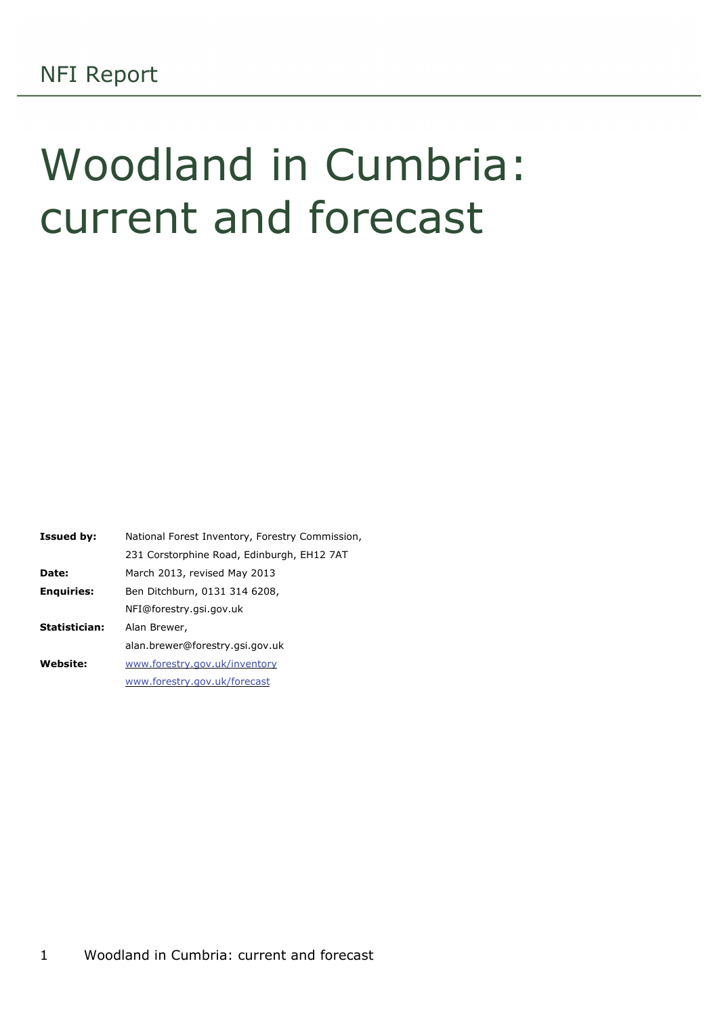# Woodland in Cumbria: current and forecast

| <b>Issued by:</b> | National Forest Inventory, Forestry Commission, |
|-------------------|-------------------------------------------------|
|                   | 231 Corstorphine Road, Edinburgh, EH12 7AT      |
| Date:             | March 2013, revised May 2013                    |
| <b>Enquiries:</b> | Ben Ditchburn, 0131 314 6208,                   |
|                   | NFI@forestry.gsi.gov.uk                         |
| Statistician:     | Alan Brewer,                                    |
|                   | alan.brewer@forestry.gsi.gov.uk                 |
| <b>Website:</b>   | www.forestry.gov.uk/inventory                   |
|                   | www.forestry.gov.uk/forecast                    |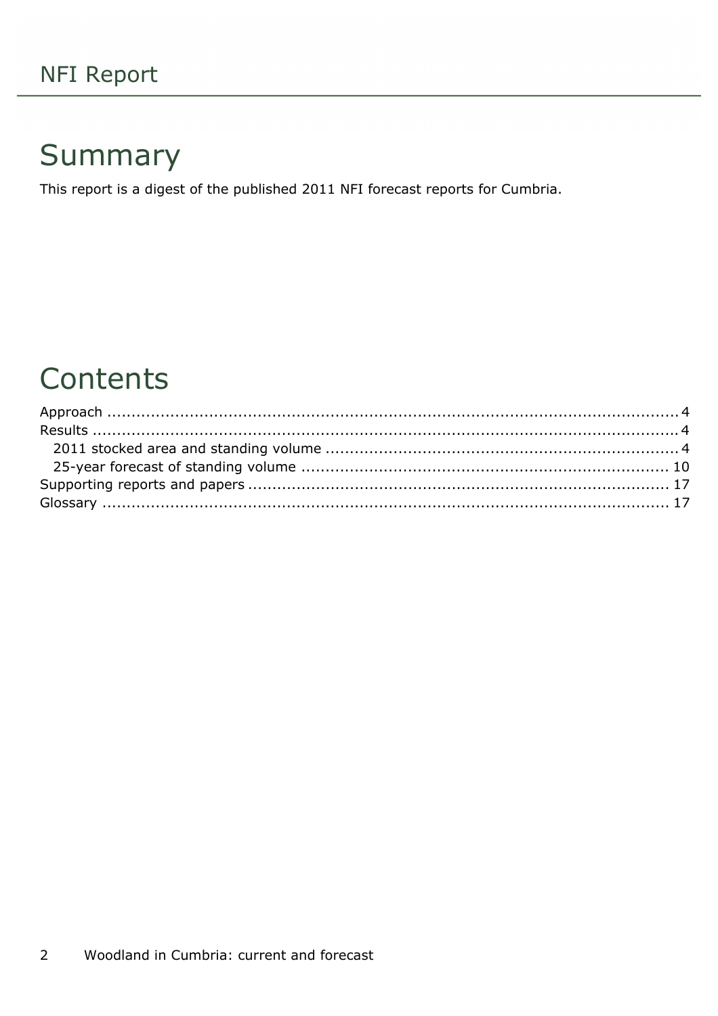## Summary

This report is a digest of the published 2011 NFI forecast reports for Cumbria.

### Contents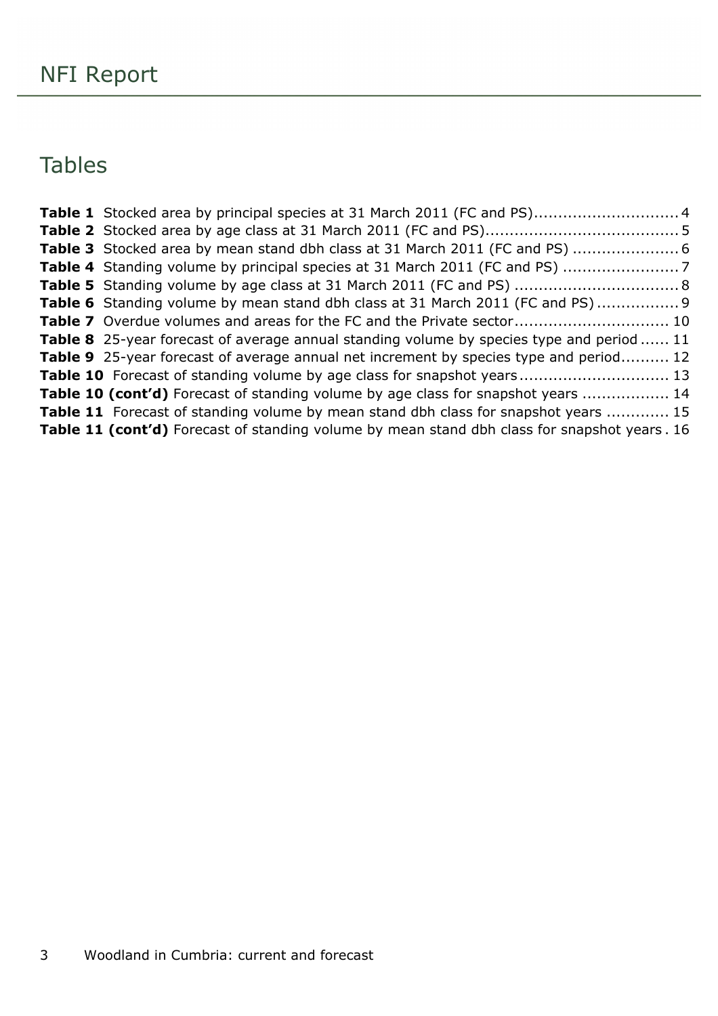### Tables

| Table 6 Standing volume by mean stand dbh class at 31 March 2011 (FC and PS) 9                   |  |
|--------------------------------------------------------------------------------------------------|--|
| Table 7 Overdue volumes and areas for the FC and the Private sector 10                           |  |
| <b>Table 8</b> 25-year forecast of average annual standing volume by species type and period  11 |  |
| <b>Table 9</b> 25-year forecast of average annual net increment by species type and period 12    |  |
| Table 10 Forecast of standing volume by age class for snapshot years 13                          |  |
| Table 10 (cont'd) Forecast of standing volume by age class for snapshot years  14                |  |
| <b>Table 11</b> Forecast of standing volume by mean stand dbh class for snapshot years  15       |  |
| Table 11 (cont'd) Forecast of standing volume by mean stand dbh class for snapshot years. 16     |  |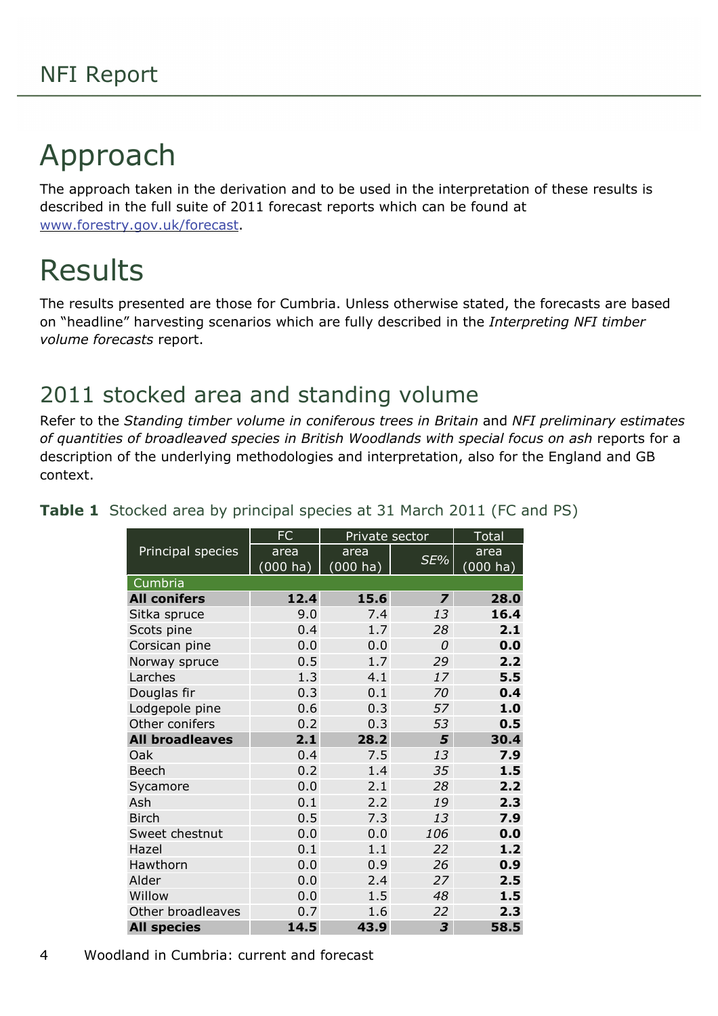# <span id="page-3-0"></span>Approach

The approach taken in the derivation and to be used in the interpretation of these results is described in the full suite of 2011 forecast reports which can be found at [www.forestry.gov.uk/forecast.](http://www.forestry.gov.uk/forecast)

# <span id="page-3-1"></span>Results

The results presented are those for Cumbria. Unless otherwise stated, the forecasts are based on "headline" harvesting scenarios which are fully described in the *Interpreting NFI timber volume forecasts* report.

### <span id="page-3-2"></span>2011 stocked area and standing volume

Refer to the *Standing timber volume in coniferous trees in Britain* and *NFI preliminary estimates of quantities of broadleaved species in British Woodlands with special focus on ash* reports for a description of the underlying methodologies and interpretation, also for the England and GB context.

|                        | FC                 | Private sector        |                         | <b>Total</b> |
|------------------------|--------------------|-----------------------|-------------------------|--------------|
| Principal species      | area               | area                  |                         | area         |
|                        | $(000 \text{ ha})$ | $(000 h\overline{a})$ | SE%                     | (000 ha)     |
| Cumbria                |                    |                       |                         |              |
| <b>All conifers</b>    | 12.4               | 15.6                  | $\overline{\mathbf{z}}$ | 28.0         |
| Sitka spruce           | 9.0                | 7.4                   | 13                      | 16.4         |
| Scots pine             | 0.4                | 1.7                   | 28                      | 2.1          |
| Corsican pine          | 0.0                | 0.0                   | $\Omega$                | 0.0          |
| Norway spruce          | 0.5                | 1.7                   | 29                      | 2.2          |
| Larches                | 1.3                | 4.1                   | 17                      | 5.5          |
| Douglas fir            | 0.3                | 0.1                   | 70                      | 0.4          |
| Lodgepole pine         | 0.6                | 0.3                   | 57                      | 1.0          |
| Other conifers         | 0.2                | 0.3                   | 53                      | 0.5          |
| <b>All broadleaves</b> | 2.1                | 28.2                  | 5                       | 30.4         |
| Oak                    | 0.4                | 7.5                   | 13                      | 7.9          |
| Beech                  | 0.2                | 1.4                   | 35                      | 1.5          |
| Sycamore               | 0.0                | 2.1                   | 28                      | 2.2          |
| Ash                    | 0.1                | 2.2                   | 19                      | 2.3          |
| <b>Birch</b>           | 0.5                | 7.3                   | 13                      | 7.9          |
| Sweet chestnut         | 0.0                | 0.0                   | 106                     | 0.0          |
| Hazel                  | 0.1                | 1.1                   | 22                      | 1.2          |
| Hawthorn               | 0.0                | 0.9                   | 26                      | 0.9          |
| Alder                  | 0.0                | 2.4                   | 27                      | 2.5          |
| Willow                 | 0.0                | 1.5                   | 48                      | 1.5          |
| Other broadleaves      | 0.7                | 1.6                   | 22                      | 2.3          |
| <b>All species</b>     | 14.5               | 43.9                  | 3                       | 58.5         |

<span id="page-3-3"></span>**Table 1** Stocked area by principal species at 31 March 2011 (FC and PS)

4 Woodland in Cumbria: current and forecast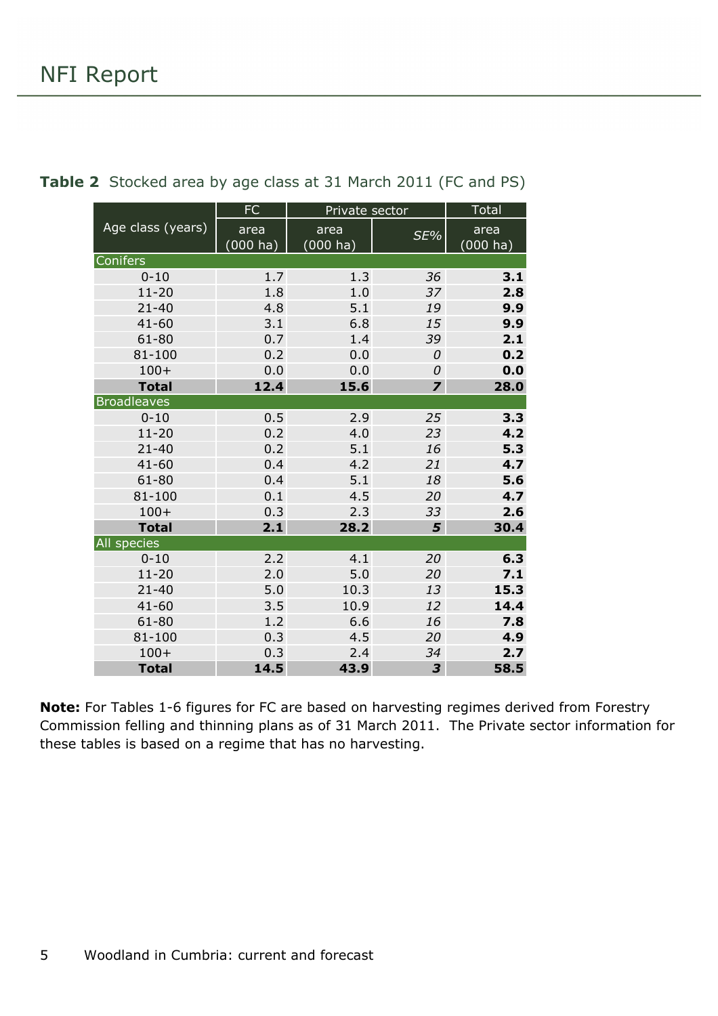|                    | <b>FC</b> | Private sector |                         | <b>Total</b> |
|--------------------|-----------|----------------|-------------------------|--------------|
| Age class (years)  | area      | area           | SE%                     | area         |
|                    | (000 ha)  | $(000)$ ha)    |                         | (000 ha)     |
| Conifers           |           |                |                         |              |
| $0 - 10$           | 1.7       | 1.3            | 36                      | 3.1          |
| $11 - 20$          | 1.8       | 1.0            | 37                      | 2.8          |
| $21 - 40$          | 4.8       | 5.1            | 19                      | 9.9          |
| $41 - 60$          | 3.1       | 6.8            | 15                      | 9.9          |
| $61 - 80$          | 0.7       | 1.4            | 39                      | 2.1          |
| 81-100             | 0.2       | 0.0            | 0                       | 0.2          |
| $100+$             | 0.0       | 0.0            | 0                       | 0.0          |
| <b>Total</b>       | 12.4      | 15.6           | $\overline{\mathbf{z}}$ | 28.0         |
| <b>Broadleaves</b> |           |                |                         |              |
| $0 - 10$           | 0.5       | 2.9            | 25                      | 3.3          |
| $11 - 20$          | 0.2       | 4.0            | 23                      | 4.2          |
| $21 - 40$          | 0.2       | 5.1            | 16                      | 5.3          |
| $41 - 60$          | 0.4       | 4.2            | 21                      | 4.7          |
| 61-80              | 0.4       | 5.1            | 18                      | 5.6          |
| 81-100             | 0.1       | 4.5            | 20                      | 4.7          |
| $100+$             | 0.3       | 2.3            | 33                      | 2.6          |
| <b>Total</b>       | 2.1       | 28.2           | 5                       | 30.4         |
| All species        |           |                |                         |              |
| $0 - 10$           | 2.2       | 4.1            | 20                      | 6.3          |
| $11 - 20$          | 2.0       | 5.0            | 20                      | 7.1          |
| $21 - 40$          | 5.0       | 10.3           | 13                      | 15.3         |
| $41 - 60$          | 3.5       | 10.9           | 12                      | 14.4         |
| $61 - 80$          | 1.2       | 6.6            | 16                      | 7.8          |
| 81-100             | 0.3       | 4.5            | 20                      | 4.9          |
| $100+$             | 0.3       | 2.4            | 34                      | 2.7          |
| <b>Total</b>       | 14.5      | 43.9           | 3                       | 58.5         |

<span id="page-4-0"></span>**Table 2** Stocked area by age class at 31 March 2011 (FC and PS)

**Note:** For Tables 1-6 figures for FC are based on harvesting regimes derived from Forestry Commission felling and thinning plans as of 31 March 2011. The Private sector information for these tables is based on a regime that has no harvesting.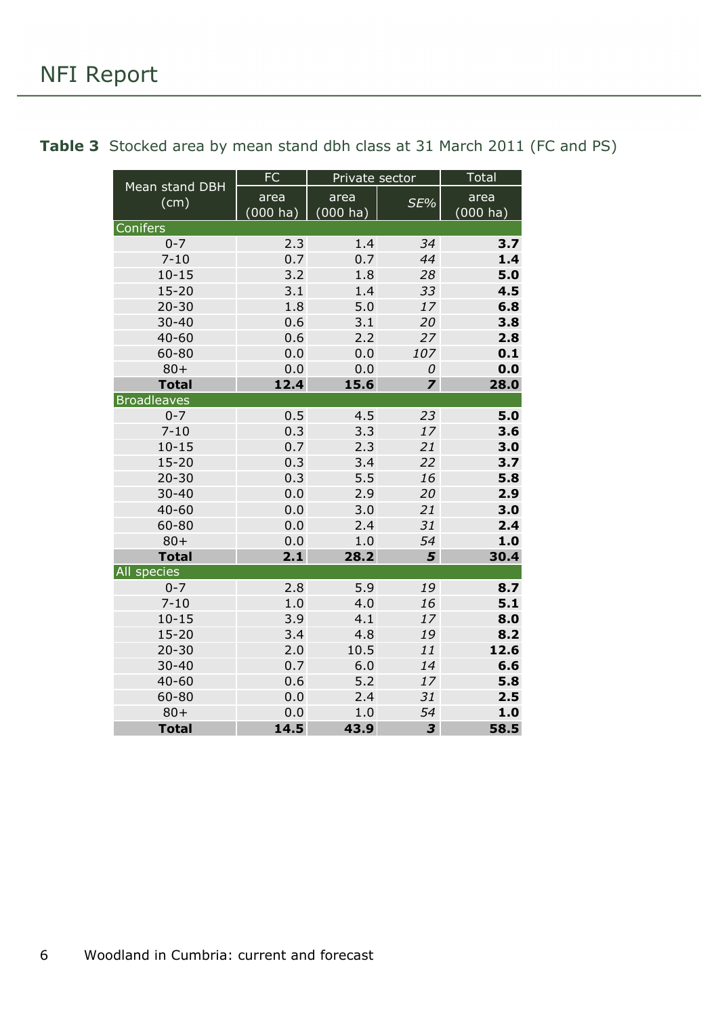|                        | <b>FC</b>           | Private sector      |                         | <b>Total</b>               |
|------------------------|---------------------|---------------------|-------------------------|----------------------------|
| Mean stand DBH<br>(cm) | area<br>$(000)$ ha) | area<br>$(000)$ ha) | SE%                     | area<br>$(000 \text{ ha})$ |
| Conifers               |                     |                     |                         |                            |
| $0 - 7$                | 2.3                 | 1.4                 | 34                      | 3.7                        |
| $7 - 10$               | 0.7                 | 0.7                 | 44                      | 1.4                        |
| $10 - 15$              | 3.2                 | 1.8                 | 28                      | 5.0                        |
| $15 - 20$              | 3.1                 | 1.4                 | 33                      | 4.5                        |
| $20 - 30$              | 1.8                 | 5.0                 | 17                      | 6.8                        |
| $30 - 40$              | 0.6                 | 3.1                 | 20                      | 3.8                        |
| $40 - 60$              | 0.6                 | 2.2                 | 27                      | 2.8                        |
| 60-80                  | 0.0                 | 0.0                 | 107                     | 0.1                        |
| $80 +$                 | 0.0                 | 0.0                 | 0                       | 0.0                        |
| <b>Total</b>           | 12.4                | 15.6                | $\overline{\mathbf{z}}$ | 28.0                       |
| <b>Broadleaves</b>     |                     |                     |                         |                            |
| $0 - 7$                | 0.5                 | 4.5                 | 23                      | 5.0                        |
| $7 - 10$               | 0.3                 | 3.3                 | 17                      | 3.6                        |
| $10 - 15$              | 0.7                 | 2.3                 | 21                      | 3.0                        |
| $15 - 20$              | 0.3                 | 3.4                 | 22                      | 3.7                        |
| $20 - 30$              | 0.3                 | 5.5                 | 16                      | 5.8                        |
| $30 - 40$              | 0.0                 | 2.9                 | 20                      | 2.9                        |
| $40 - 60$              | 0.0                 | 3.0                 | 21                      | 3.0                        |
| 60-80                  | 0.0                 | 2.4                 | 31                      | 2.4                        |
| $80 +$                 | 0.0                 | 1.0                 | 54                      | 1.0                        |
| <b>Total</b>           | 2.1                 | 28.2                | 5                       | 30.4                       |
| All species            |                     |                     |                         |                            |
| $0 - 7$                | 2.8                 | 5.9                 | 19                      | 8.7                        |
| $7 - 10$               | 1.0                 | 4.0                 | 16                      | 5.1                        |
| $10 - 15$              | 3.9                 | 4.1                 | 17                      | 8.0                        |
| $15 - 20$              | 3.4                 | 4.8                 | 19                      | 8.2                        |
| $20 - 30$              | 2.0                 | 10.5                | 11                      | 12.6                       |
| $30 - 40$              | 0.7                 | 6.0                 | 14                      | 6.6                        |
| $40 - 60$              | 0.6                 | 5.2                 | 17                      | 5.8                        |
| 60-80                  | 0.0                 | 2.4                 | 31                      | 2.5                        |
| $80 +$                 | 0.0                 | 1.0                 | 54                      | 1.0                        |
| <b>Total</b>           | 14.5                | 43.9                | 3                       | 58.5                       |

<span id="page-5-0"></span>**Table 3** Stocked area by mean stand dbh class at 31 March 2011 (FC and PS)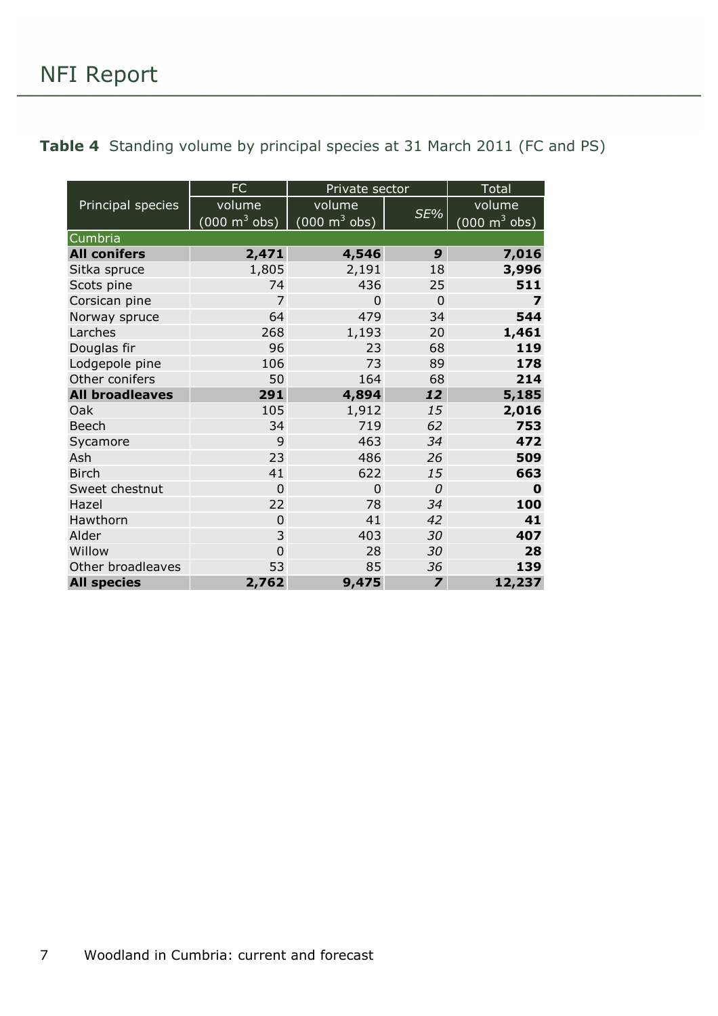<span id="page-6-0"></span>

|  |  | <b>Table 4</b> Standing volume by principal species at 31 March 2011 (FC and PS) |  |  |  |
|--|--|----------------------------------------------------------------------------------|--|--|--|
|--|--|----------------------------------------------------------------------------------|--|--|--|

|                        | FC                              | Private sector                         |                         | <b>Total</b>                    |
|------------------------|---------------------------------|----------------------------------------|-------------------------|---------------------------------|
| Principal species      | volume                          | volume                                 |                         | volume                          |
|                        | $(000 \text{ m}^3 \text{ obs})$ | $\sqrt{(000 \text{ m}^3 \text{ obs})}$ | SE%                     | $(000 \text{ m}^3 \text{ obs})$ |
| Cumbria                |                                 |                                        |                         |                                 |
| <b>All conifers</b>    | 2,471                           | 4,546                                  | 9                       | 7,016                           |
| Sitka spruce           | 1,805                           | 2,191                                  | 18                      | 3,996                           |
| Scots pine             | 74                              | 436                                    | 25                      | 511                             |
| Corsican pine          | $\overline{7}$                  | $\Omega$                               | $\Omega$                | $\overline{\mathbf{z}}$         |
| Norway spruce          | 64                              | 479                                    | 34                      | 544                             |
| Larches                | 268                             | 1,193                                  | 20                      | 1,461                           |
| Douglas fir            | 96                              | 23                                     | 68                      | 119                             |
| Lodgepole pine         | 106                             | 73                                     | 89                      | 178                             |
| Other conifers         | 50                              | 164                                    | 68                      | 214                             |
| <b>All broadleaves</b> | 291                             | 4,894                                  | 12                      | 5,185                           |
| Oak                    | 105                             | 1,912                                  | 15                      | 2,016                           |
| <b>Beech</b>           | 34                              | 719                                    | 62                      | 753                             |
| Sycamore               | 9                               | 463                                    | 34                      | 472                             |
| Ash                    | 23                              | 486                                    | 26                      | 509                             |
| <b>Birch</b>           | 41                              | 622                                    | 15                      | 663                             |
| Sweet chestnut         | $\overline{0}$                  | 0                                      | 0                       | 0                               |
| Hazel                  | 22                              | 78                                     | 34                      | 100                             |
| Hawthorn               | $\overline{0}$                  | 41                                     | 42                      | 41                              |
| Alder                  | 3                               | 403                                    | 30                      | 407                             |
| Willow                 | $\Omega$                        | 28                                     | 30                      | 28                              |
| Other broadleaves      | 53                              | 85                                     | 36                      | 139                             |
| <b>All species</b>     | 2,762                           | 9,475                                  | $\overline{\mathbf{z}}$ | 12,237                          |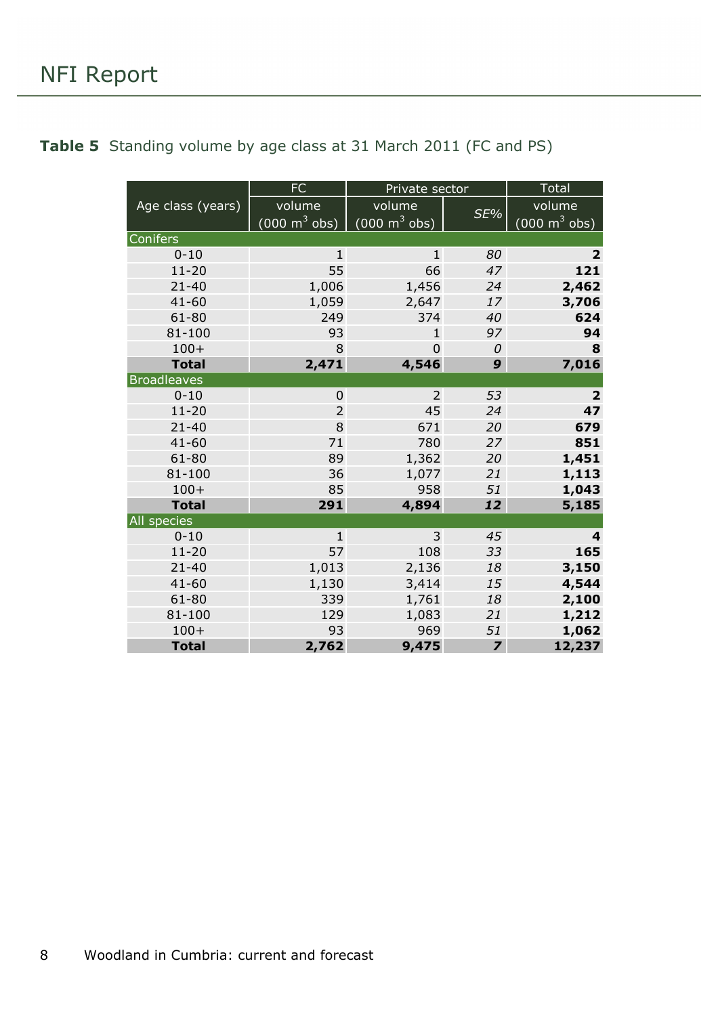### NFI Report

|                    | <b>FC</b>                       | Private sector                  |                         | <b>Total</b>                    |
|--------------------|---------------------------------|---------------------------------|-------------------------|---------------------------------|
| Age class (years)  | volume                          | volume                          |                         | volume                          |
|                    | $(000 \text{ m}^3 \text{ obs})$ | $(000 \text{ m}^3 \text{ obs})$ | SE%                     | $(000 \text{ m}^3 \text{ obs})$ |
| Conifers           |                                 |                                 |                         |                                 |
| $0 - 10$           | $\mathbf{1}$                    | $\mathbf{1}$                    | 80                      | $\overline{2}$                  |
| $11 - 20$          | 55                              | 66                              | 47                      | 121                             |
| $21 - 40$          | 1,006                           | 1,456                           | 24                      | 2,462                           |
| $41 - 60$          | 1,059                           | 2,647                           | 17                      | 3,706                           |
| $61 - 80$          | 249                             | 374                             | 40                      | 624                             |
| 81-100             | 93                              | $\mathbf{1}$                    | 97                      | 94                              |
| $100+$             | 8                               | $\overline{0}$                  | 0                       | 8                               |
| <b>Total</b>       | 2,471                           | 4,546                           | 9                       | 7,016                           |
| <b>Broadleaves</b> |                                 |                                 |                         |                                 |
| $0 - 10$           | $\mathbf 0$                     | $\overline{2}$                  | 53                      | $\overline{\mathbf{2}}$         |
| $11 - 20$          | $\overline{2}$                  | 45                              | 24                      | 47                              |
| $21 - 40$          | 8                               | 671                             | 20                      | 679                             |
| $41 - 60$          | 71                              | 780                             | 27                      | 851                             |
| 61-80              | 89                              | 1,362                           | 20                      | 1,451                           |
| 81-100             | 36                              | 1,077                           | 21                      | 1,113                           |
| $100+$             | 85                              | 958                             | 51                      | 1,043                           |
| <b>Total</b>       | 291                             | 4,894                           | 12                      | 5,185                           |
| All species        |                                 |                                 |                         |                                 |
| $0 - 10$           | $\mathbf{1}$                    | 3                               | 45                      | 4                               |
| $11 - 20$          | 57                              | 108                             | 33                      | 165                             |
| $21 - 40$          | 1,013                           | 2,136                           | 18                      | 3,150                           |
| $41 - 60$          | 1,130                           | 3,414                           | 15                      | 4,544                           |
| 61-80              | 339                             | 1,761                           | 18                      | 2,100                           |
| 81-100             | 129                             | 1,083                           | 21                      | 1,212                           |
| $100+$             | 93                              | 969                             | 51                      | 1,062                           |
| <b>Total</b>       | 2,762                           | 9,475                           | $\overline{\mathbf{z}}$ | 12,237                          |

#### <span id="page-7-0"></span>**Table 5** Standing volume by age class at 31 March 2011 (FC and PS)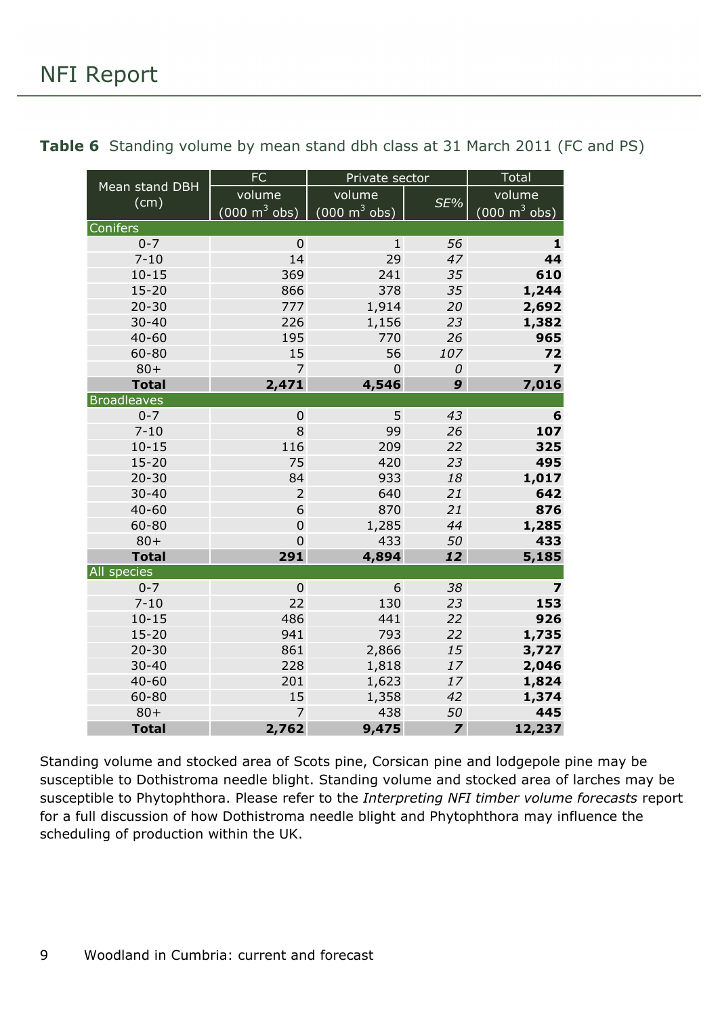|                        | <b>FC</b>                       | Private sector                  |                         | Total                           |
|------------------------|---------------------------------|---------------------------------|-------------------------|---------------------------------|
| Mean stand DBH<br>(cm) | volume                          | volume                          | SE%                     | volume                          |
|                        | $(000 \text{ m}^3 \text{ obs})$ | $(000 \text{ m}^3 \text{ obs})$ |                         | $(000 \text{ m}^3 \text{ obs})$ |
| Conifers               |                                 |                                 |                         |                                 |
| $0 - 7$                | $\mathbf 0$                     | $\mathbf{1}$                    | 56                      | 1                               |
| $7 - 10$               | 14                              | 29                              | 47                      | 44                              |
| $10 - 15$              | 369                             | 241                             | 35                      | 610                             |
| $15 - 20$              | 866                             | 378                             | 35                      | 1,244                           |
| $20 - 30$              | 777                             | 1,914                           | 20                      | 2,692                           |
| $30 - 40$              | 226                             | 1,156                           | 23                      | 1,382                           |
| $40 - 60$              | 195                             | 770                             | 26                      | 965                             |
| 60-80                  | 15                              | 56                              | 107                     | 72                              |
| $80 +$                 | $\overline{7}$                  | $\mathbf 0$                     | 0                       | $\overline{z}$                  |
| <b>Total</b>           | 2,471                           | 4,546                           | 9                       | 7,016                           |
| <b>Broadleaves</b>     |                                 |                                 |                         |                                 |
| $0 - 7$                | $\mathbf 0$                     | 5                               | 43                      | 6                               |
| $7 - 10$               | 8                               | 99                              | 26                      | 107                             |
| $10 - 15$              | 116                             | 209                             | 22                      | 325                             |
| $15 - 20$              | 75                              | 420                             | 23                      | 495                             |
| $20 - 30$              | 84                              | 933                             | 18                      | 1,017                           |
| $30 - 40$              | $\overline{2}$                  | 640                             | 21                      | 642                             |
| $40 - 60$              | 6                               | 870                             | 21                      | 876                             |
| 60-80                  | $\mathbf 0$                     | 1,285                           | 44                      | 1,285                           |
| $80 +$                 | $\mathbf 0$                     | 433                             | 50                      | 433                             |
| <b>Total</b>           | 291                             | 4,894                           | 12                      | 5,185                           |
| All species            |                                 |                                 |                         |                                 |
| $0 - 7$                | 0                               | 6                               | 38                      | $\overline{\mathbf{z}}$         |
| $7 - 10$               | 22                              | 130                             | 23                      | 153                             |
| $10 - 15$              | 486                             | 441                             | 22                      | 926                             |
| $15 - 20$              | 941                             | 793                             | 22                      | 1,735                           |
| $20 - 30$              | 861                             | 2,866                           | 15                      | 3,727                           |
| $30 - 40$              | 228                             | 1,818                           | 17                      | 2,046                           |
| $40 - 60$              | 201                             | 1,623                           | 17                      | 1,824                           |
| 60-80                  | 15                              | 1,358                           | 42                      | 1,374                           |
| $80 +$                 | $\overline{7}$                  | 438                             | 50                      | 445                             |
| <b>Total</b>           | 2,762                           | 9,475                           | $\overline{\mathbf{z}}$ | 12,237                          |

<span id="page-8-0"></span>**Table 6** Standing volume by mean stand dbh class at 31 March 2011 (FC and PS)

Standing volume and stocked area of Scots pine, Corsican pine and lodgepole pine may be susceptible to Dothistroma needle blight. Standing volume and stocked area of larches may be susceptible to Phytophthora. Please refer to the *Interpreting NFI timber volume forecasts* report for a full discussion of how Dothistroma needle blight and Phytophthora may influence the scheduling of production within the UK.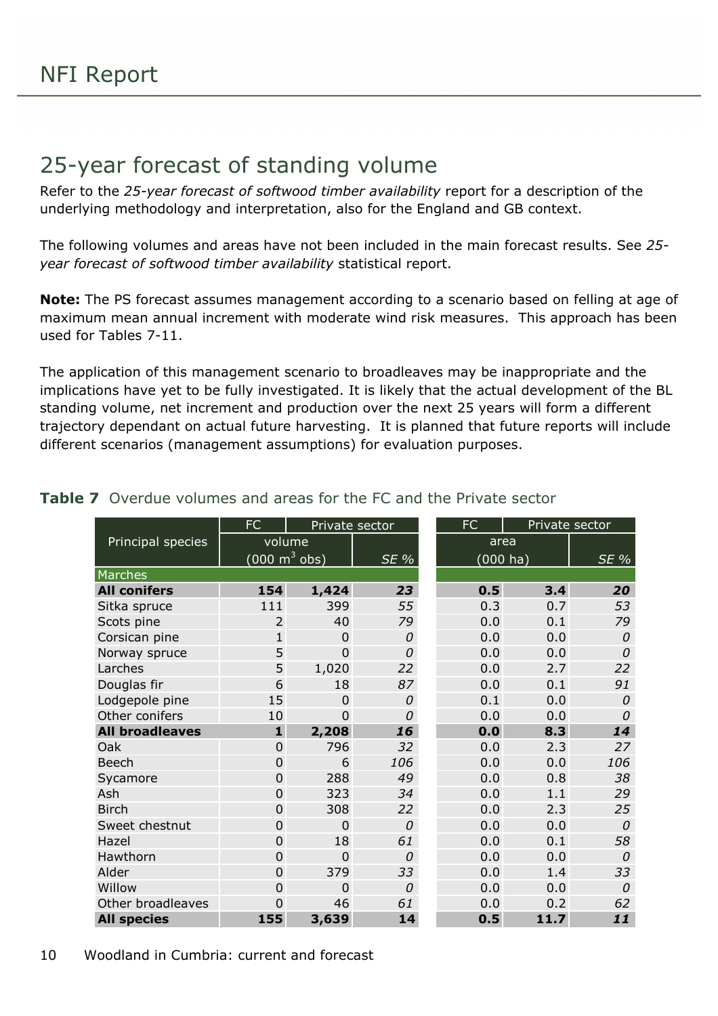### <span id="page-9-0"></span>25-year forecast of standing volume

Refer to the *25-year forecast of softwood timber availability* report for a description of the underlying methodology and interpretation, also for the England and GB context.

The following volumes and areas have not been included in the main forecast results. See *25 year forecast of softwood timber availability* statistical report.

**Note:** The PS forecast assumes management according to a scenario based on felling at age of maximum mean annual increment with moderate wind risk measures. This approach has been used for Tables 7-11.

The application of this management scenario to broadleaves may be inappropriate and the implications have yet to be fully investigated. It is likely that the actual development of the BL standing volume, net increment and production over the next 25 years will form a different trajectory dependant on actual future harvesting. It is planned that future reports will include different scenarios (management assumptions) for evaluation purposes.

|                        | FC             |                                 | Private sector | FC  | Private sector |               |  |
|------------------------|----------------|---------------------------------|----------------|-----|----------------|---------------|--|
| Principal species      |                | volume                          |                |     | area           |               |  |
|                        |                | $(000 \text{ m}^3 \text{ obs})$ | $SE\%$         |     | $(000)$ ha)    | SE %          |  |
| Marches                |                |                                 |                |     |                |               |  |
| <b>All conifers</b>    | 154            | 1,424                           | 23             | 0.5 | 3.4            | 20            |  |
| Sitka spruce           | 111            | 399                             | 55             | 0.3 | 0.7            | 53            |  |
| Scots pine             | $\overline{2}$ | 40                              | 79             | 0.0 | 0.1            | 79            |  |
| Corsican pine          | $\mathbf{1}$   | $\mathbf 0$                     | 0              | 0.0 | 0.0            | 0             |  |
| Norway spruce          | 5              | 0                               | $\Omega$       | 0.0 | 0.0            | 0             |  |
| Larches                | 5              | 1,020                           | 22             | 0.0 | 2.7            | 22            |  |
| Douglas fir            | 6              | 18                              | 87             | 0.0 | 0.1            | 91            |  |
| Lodgepole pine         | 15             | $\overline{0}$                  | $\Omega$       | 0.1 | 0.0            | 0             |  |
| Other conifers         | 10             | $\overline{0}$                  | $\Omega$       | 0.0 | 0.0            | 0             |  |
| <b>All broadleaves</b> | $\mathbf{1}$   | 2,208                           | 16             |     | 0.0<br>8.3     |               |  |
| Oak                    | $\mathbf 0$    | 796                             | 32             | 0.0 | 2.3            | 27            |  |
| <b>Beech</b>           | $\mathbf 0$    | 6                               | 106            | 0.0 | 0.0            | 106           |  |
| Sycamore               | $\overline{0}$ | 288                             | 49             | 0.0 | 0.8            | 38            |  |
| Ash                    | $\overline{0}$ | 323                             | 34             | 0.0 | 1.1            | 29            |  |
| <b>Birch</b>           | $\mathbf 0$    | 308                             | 22             | 0.0 | 2.3            | 25            |  |
| Sweet chestnut         | $\overline{0}$ | $\overline{0}$                  | 0              | 0.0 | 0.0            | $\mathcal{O}$ |  |
| Hazel                  | $\mathbf 0$    | 18                              | 61             | 0.0 | 0.1            | 58            |  |
| Hawthorn               | $\overline{0}$ | $\overline{0}$                  | 0              | 0.0 | 0.0            | 0             |  |
| Alder                  | $\overline{0}$ | 379                             | 33             | 0.0 | 1.4            | 33            |  |
| Willow                 | $\overline{0}$ | $\overline{0}$                  | 0              | 0.0 | 0.0            | 0             |  |
| Other broadleaves      | 0              | 46                              | 61             | 0.0 | 0.2            | 62            |  |
| <b>All species</b>     | 155            | 3,639                           | 14             | 0.5 | 11.7           | 11            |  |

#### <span id="page-9-1"></span>**Table 7** Overdue volumes and areas for the FC and the Private sector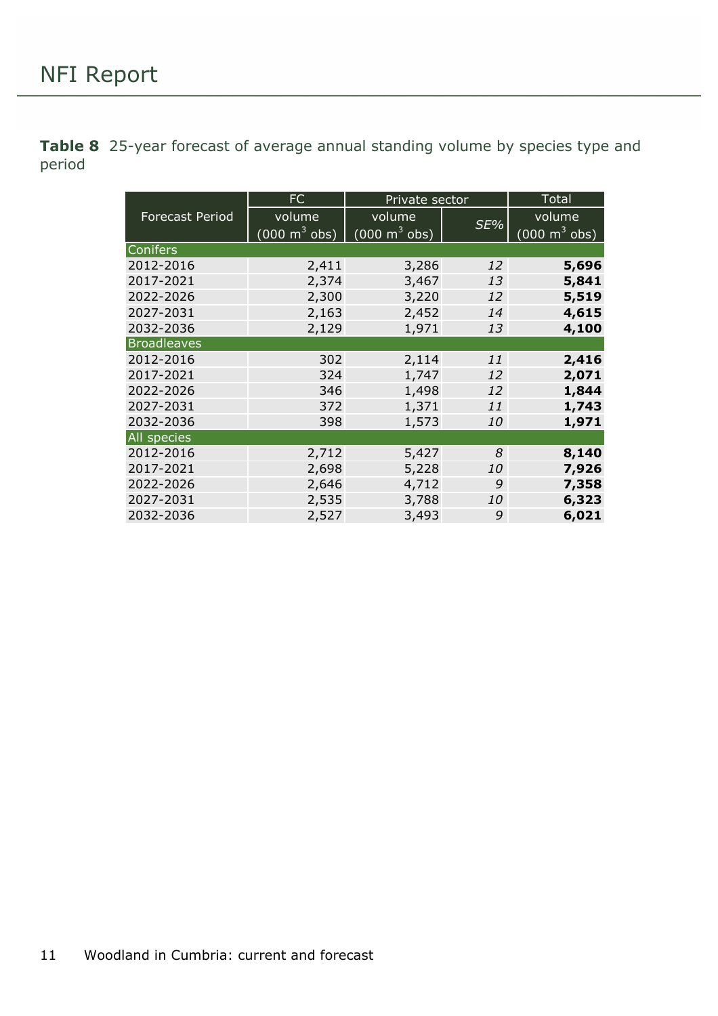<span id="page-10-0"></span>**Table 8** 25-year forecast of average annual standing volume by species type and period

|                        | FC                              | Private sector                  | Total     |                                 |
|------------------------|---------------------------------|---------------------------------|-----------|---------------------------------|
| <b>Forecast Period</b> | volume                          | volume                          | SE%       | volume                          |
|                        | $(000 \text{ m}^3 \text{ obs})$ | $(000 \text{ m}^3 \text{ obs})$ |           | $(000 \text{ m}^3 \text{ obs})$ |
| <b>Conifers</b>        |                                 |                                 |           |                                 |
| 2012-2016              | 2,411                           | 3,286                           | 12        | 5,696                           |
| 2017-2021              | 2,374                           | 3,467                           | 13        | 5,841                           |
| 2022-2026              | 2,300                           | 3,220                           | 12        | 5,519                           |
| 2027-2031              | 2,163                           | 2,452                           | 14        | 4,615                           |
| 2032-2036              | 2,129                           | 1,971                           | 13        | 4,100                           |
| <b>Broadleaves</b>     |                                 |                                 |           |                                 |
| 2012-2016              | 302                             | 2,114                           | 11        | 2,416                           |
| 2017-2021              | 324                             | 1,747                           | 12        | 2,071                           |
| 2022-2026              | 346                             | 1,498                           | 12        | 1,844                           |
| 2027-2031              | 372                             | 1,371                           | 11        | 1,743                           |
| 2032-2036              | 398                             | 1,573                           | <i>10</i> | 1,971                           |
| All species            |                                 |                                 |           |                                 |
| 2012-2016              | 2,712                           | 5,427                           | 8         | 8,140                           |
| 2017-2021              | 2,698                           | 5,228                           | <i>10</i> | 7,926                           |
| 2022-2026              | 2,646                           | 4,712                           | 9         | 7,358                           |
| 2027-2031              | 2,535                           | 3,788                           | <i>10</i> | 6,323                           |
| 2032-2036              | 2,527                           | 3,493                           | 9         | 6,021                           |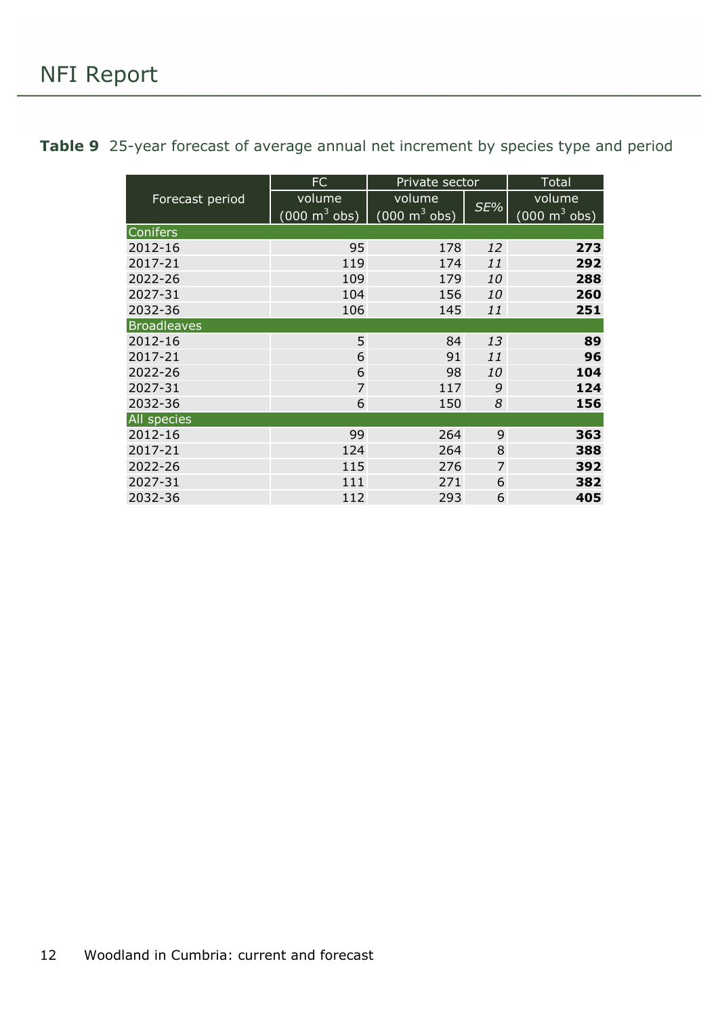<span id="page-11-0"></span>

|  | Table 9 25-year forecast of average annual net increment by species type and period |  |  |  |  |  |  |  |  |  |  |
|--|-------------------------------------------------------------------------------------|--|--|--|--|--|--|--|--|--|--|
|--|-------------------------------------------------------------------------------------|--|--|--|--|--|--|--|--|--|--|

|                    | <b>FC</b>                       | Private sector                  | Total     |                                 |
|--------------------|---------------------------------|---------------------------------|-----------|---------------------------------|
| Forecast period    | volume                          | volume                          |           | volume                          |
|                    | $(000 \text{ m}^3 \text{ obs})$ | $(000 \text{ m}^3 \text{ obs})$ | SE%       | $(000 \text{ m}^3 \text{ obs})$ |
| Conifers           |                                 |                                 |           |                                 |
| 2012-16            | 95                              | 178                             | 12        | 273                             |
| 2017-21            | 119                             | 174                             | 11        | 292                             |
| 2022-26            | 109                             | 179                             | 10        | 288                             |
| 2027-31            | 104                             | 156                             | 10        | 260                             |
| 2032-36            | 106                             | 145                             | 11        | 251                             |
| <b>Broadleaves</b> |                                 |                                 |           |                                 |
| 2012-16            | 5                               | 84                              | 13        | 89                              |
| 2017-21            | 6                               | 91                              | 11        | 96                              |
| 2022-26            | 6                               | 98                              | <i>10</i> | 104                             |
| 2027-31            | $\overline{7}$                  | 117                             | 9         | 124                             |
| 2032-36            | 6                               | 150                             | 8         | 156                             |
| All species        |                                 |                                 |           |                                 |
| 2012-16            | 99                              | 264                             | 9         | 363                             |
| 2017-21            | 124                             | 264                             | 8         | 388                             |
| 2022-26            | 115                             | 276                             | 7         | 392                             |
| 2027-31            | 111                             | 271                             | 6         | 382                             |
| 2032-36            | 112                             | 293                             | 6         | 405                             |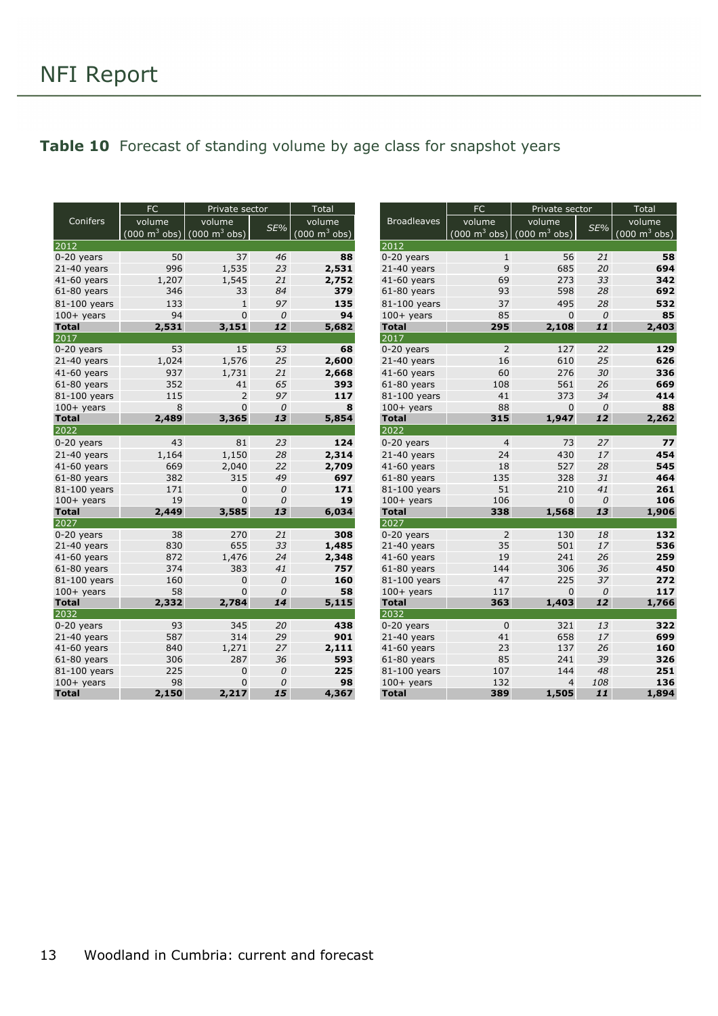#### <span id="page-12-0"></span>Table 10 Forecast of standing volume by age class for snapshot years

|               | <b>FC</b> | Private sector                                   |               | Total                               |                    | <b>FC</b>      | Private sector                                                  |               | Total                               |  |
|---------------|-----------|--------------------------------------------------|---------------|-------------------------------------|--------------------|----------------|-----------------------------------------------------------------|---------------|-------------------------------------|--|
| Conifers      | volume    | volume                                           |               | volume                              | <b>Broadleaves</b> | volume         | volume                                                          |               | volume                              |  |
|               |           | (000 m $^3$ obs) $(000 \text{ m}^3 \text{ obs})$ | SE%           | $(000 \; \text{m}^3 \; \text{obs})$ |                    |                | $(000 \text{ m}^3 \text{ obs})$ $(000 \text{ m}^3 \text{ obs})$ | SE%           | $(000 \; \text{m}^3 \; \text{obs})$ |  |
| 2012          |           |                                                  |               |                                     | 2012               |                |                                                                 |               |                                     |  |
| $0-20$ years  | 50        | 37                                               | 46            | 88                                  | $0-20$ years       | $\mathbf{1}$   | 56                                                              | 21            | 58                                  |  |
| $21-40$ years | 996       | 1,535                                            | 23            | 2,531                               | $21-40$ years      | 9              | 685                                                             | 20            | 694                                 |  |
| 41-60 years   | 1,207     | 1,545                                            | 21            | 2,752                               | 41-60 years        | 69             | 273                                                             | 33            | 342                                 |  |
| $61-80$ years | 346       | 33                                               | 84            | 379                                 | $61-80$ years      | 93             | 598                                                             | 28            | 692                                 |  |
| 81-100 years  | 133       | $\mathbf{1}$                                     | 97            | 135                                 | 81-100 years       | 37             | 495                                                             | 28            | 532                                 |  |
| $100+$ years  | 94        | $\Omega$                                         | $\mathcal{O}$ | 94                                  | $100+$ years       | 85             | $\mathbf{0}$                                                    | $\mathcal{O}$ | 85                                  |  |
| <b>Total</b>  | 2,531     | 3,151                                            | 12            | 5,682                               | <b>Total</b>       | 295            | 2,108                                                           | 11            | 2,403                               |  |
| 2017          |           |                                                  |               |                                     | 2017               |                |                                                                 |               |                                     |  |
| $0-20$ years  | 53        | 15                                               | 53            | 68                                  | $0-20$ years       | 2              | 127                                                             | 22            | 129                                 |  |
| $21-40$ years | 1,024     | 1,576                                            | 25            | 2,600                               | $21-40$ years      | 16             | 610                                                             | 25            | 626                                 |  |
| 41-60 years   | 937       | 1,731                                            | 21            | 2,668                               | $41-60$ years      | 60             | 276                                                             | 30            | 336                                 |  |
| $61-80$ years | 352       | 41                                               | 65            | 393                                 | $61-80$ years      | 108            | 561                                                             | 26            | 669                                 |  |
| 81-100 years  | 115       | $\overline{2}$                                   | 97            | 117                                 | 81-100 years       | 41             | 373                                                             | 34            | 414                                 |  |
| $100+$ years  | 8         | $\mathbf 0$                                      | $\mathcal{O}$ | 8                                   | $100+$ years       | 88             | $\mathbf{0}$                                                    | $\mathcal{O}$ | 88                                  |  |
| <b>Total</b>  | 2,489     | 3,365                                            | 13            | 5,854                               | <b>Total</b>       | 315            | 1,947                                                           | 12            | 2,262                               |  |
| 2022          |           |                                                  |               |                                     | 2022               |                |                                                                 |               |                                     |  |
| $0-20$ years  | 43        | 81                                               | 23            | 124                                 | $0-20$ years       | $\overline{4}$ | 73                                                              | 27            | 77                                  |  |
| $21-40$ years | 1,164     | 1,150                                            | 28            | 2,314                               | $21-40$ years      | 24             | 430                                                             | 17            | 454                                 |  |
| 41-60 years   | 669       | 2,040                                            | 22            | 2,709                               | $41-60$ years      | 18             | 527                                                             | 28            | 545                                 |  |
| $61-80$ years | 382       | 315                                              | 49            | 697                                 | $61-80$ years      | 135            | 328                                                             | 31            | 464                                 |  |
| 81-100 years  | 171       | 0                                                | $\mathcal{O}$ | 171                                 | 81-100 years       | 51             | 210                                                             | 41            | 261                                 |  |
| $100+$ years  | 19        | 0                                                | $\mathcal{O}$ | 19                                  | $100+$ years       | 106            | $\mathbf{0}$                                                    | $\mathcal{O}$ | 106                                 |  |
| <b>Total</b>  | 2,449     | 3,585                                            | 13            | 6,034                               | <b>Total</b>       | 338            | 1,568                                                           | 13            | 1,906                               |  |
| 2027          |           |                                                  |               |                                     | 2027               |                |                                                                 |               |                                     |  |
| $0-20$ years  | 38        | 270                                              | 21            | 308                                 | $0-20$ years       | 2              | 130                                                             | 18            | 132                                 |  |
| $21-40$ years | 830       | 655                                              | 33            | 1,485                               | $21-40$ years      | 35             | 501                                                             | 17            | 536                                 |  |
| $41-60$ years | 872       | 1,476                                            | 24            | 2,348                               | $41-60$ years      | 19             | 241                                                             | 26            | 259                                 |  |
| $61-80$ years | 374       | 383                                              | 41            | 757                                 | $61-80$ years      | 144            | 306                                                             | 36            | 450                                 |  |
| 81-100 years  | 160       | 0                                                | $\mathcal{O}$ | 160                                 | 81-100 years       | 47             | 225                                                             | 37            | 272                                 |  |
| $100+$ years  | 58        | $\mathbf 0$                                      | $\mathcal{O}$ | 58                                  | $100+$ years       | 117            | $\mathbf{0}$                                                    | $\mathcal{O}$ | 117                                 |  |
| <b>Total</b>  | 2,332     | 2,784                                            | 14            | 5,115                               | <b>Total</b>       | 363            | 1,403                                                           | 12            | 1,766                               |  |
| 2032          |           |                                                  |               |                                     | 2032               |                |                                                                 |               |                                     |  |
| $0-20$ years  | 93        | 345                                              | 20            | 438                                 | $0-20$ years       | $\mathbf 0$    | 321                                                             | 13            | 322                                 |  |
| $21-40$ years | 587       | 314                                              | 29            | 901                                 | $21-40$ years      | 41             | 658                                                             | 17            | 699                                 |  |
| 41-60 years   | 840       | 1,271                                            | 27            | 2,111                               | $41-60$ years      | 23             | 137                                                             | 26            | 160                                 |  |
| $61-80$ years | 306       | 287                                              | 36            | 593                                 | $61-80$ years      | 85             | 241                                                             | 39            | 326                                 |  |
| 81-100 years  | 225       | 0                                                | $\mathcal{O}$ | 225                                 | 81-100 years       | 107            | 144                                                             | 48            | 251                                 |  |
| $100+$ years  | 98        | $\Omega$                                         | $\theta$      | 98                                  | $100+$ years       | 132            | $\overline{4}$                                                  | 108           | 136                                 |  |
| <b>Total</b>  | 2,150     | 2,217                                            | 15            | 4,367                               | <b>Total</b>       | 389            | 1,505                                                           | 11            | 1,894                               |  |

|                    | Γ∪                              | Private sector                   |     | i otal                          |
|--------------------|---------------------------------|----------------------------------|-----|---------------------------------|
| <b>Broadleaves</b> | volume                          | volume                           |     | volume                          |
|                    | $(000 \text{ m}^3 \text{ obs})$ | $\vert$ (000 m <sup>3</sup> obs) | SE% | $(000 \text{ m}^3 \text{ obs})$ |
| 2012               |                                 |                                  |     |                                 |
| $0-20$ years       | 1                               | 56                               | 21  | 58                              |
| $21-40$ years      | 9                               | 685                              | 20  | 694                             |
| 41-60 years        | 69                              | 273                              | 33  | 342                             |
| $61-80$ years      | 93                              | 598                              | 28  | 692                             |
| 81-100 years       | 37                              | 495                              | 28  | 532                             |
| $100+$ years       | 85                              | $\Omega$                         | 0   | 85                              |
| <b>Total</b>       | 295                             | 2,108                            | 11  | 2,403                           |
| 2017               |                                 |                                  |     |                                 |
| $0-20$ years       | 2                               | 127                              | 22  | 129                             |
|                    | 16                              | 610                              | 25  | 626                             |
| $21-40$ years      |                                 |                                  |     |                                 |
| $41-60$ years      | 60                              | 276                              | 30  | 336                             |
| $61-80$ years      | 108                             | 561                              | 26  | 669                             |
| 81-100 years       | 41                              | 373                              | 34  | 414                             |
| $100+$ years       | 88                              | 0                                | 0   | 88                              |
| <b>Total</b>       | 315                             | 1,947                            | 12  | 2,262                           |
| 2022               |                                 |                                  |     |                                 |
| $0-20$ years       | $\overline{4}$                  | 73                               | 27  | 77                              |
| $21-40$ years      | 24                              | 430                              | 17  | 454                             |
| 41-60 years        | 18                              | 527                              | 28  | 545                             |
| $61-80$ years      | 135                             | 328                              | 31  | 464                             |
| 81-100 years       | 51                              | 210                              | 41  | 261                             |
| $100+$ years       | 106                             | 0                                | 0   | 106                             |
| <b>Total</b>       | 338                             | 1,568                            | 13  | 1,906                           |
| 2027               |                                 |                                  |     |                                 |
| $0-20$ years       | $\overline{2}$                  | 130                              | 18  | 132                             |
| $21-40$ years      | 35                              | 501                              | 17  | 536                             |
| 41-60 years        | 19                              | 241                              | 26  | 259                             |
| $61-80$ years      | 144                             | 306                              | 36  | 450                             |
| 81-100 years       | 47                              | 225                              | 37  | 272                             |
| $100+$ years       | 117                             | 0                                | 0   | 117                             |
| <b>Total</b>       | 363                             | 1,403                            | 12  | 1,766                           |
| 2032               |                                 |                                  |     |                                 |
| $0-20$ years       | 0                               | 321                              | 13  | 322                             |
| $21-40$ years      | 41                              | 658                              | 17  | 699                             |
| 41-60 years        | 23                              | 137                              | 26  | 160                             |
| $61-80$ years      | 85                              | 241                              | 39  | 326                             |
| 81-100 years       | 107                             | 144                              | 48  | 251                             |
| $100+$ years       | 132                             | $\overline{4}$                   | 108 | 136                             |
| <b>Total</b>       | 389                             | 1,505                            | 11  | 1,894                           |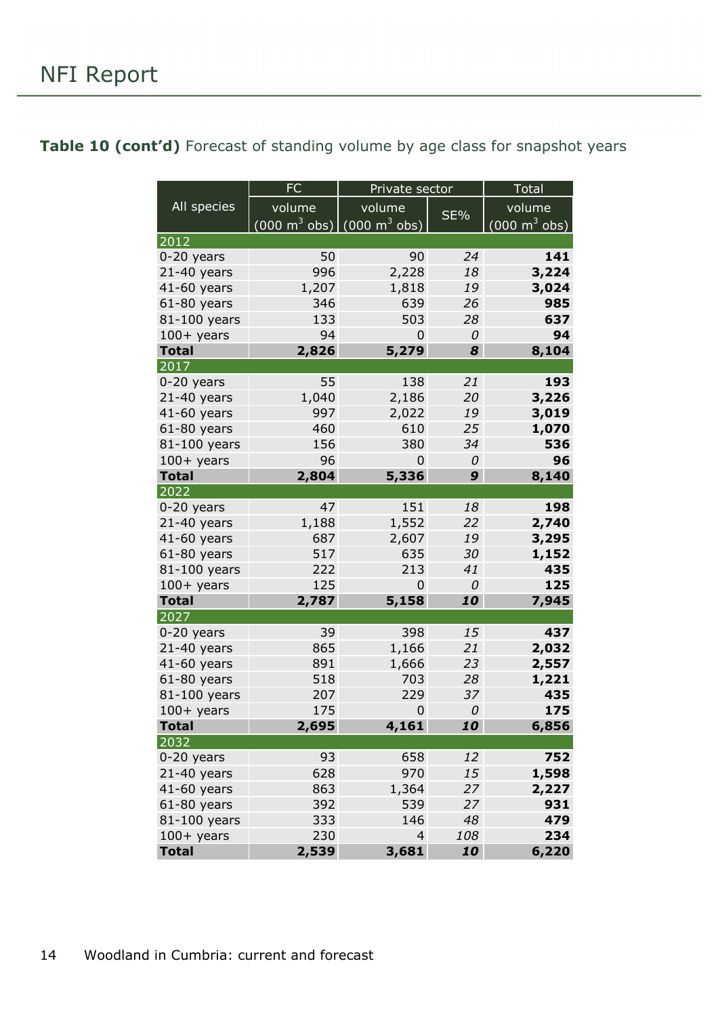#### <span id="page-13-0"></span>Table 10 (cont'd) Forecast of standing volume by age class for snapshot years

|                               | <b>FC</b>                                                       | Private sector |          | Total                           |  |
|-------------------------------|-----------------------------------------------------------------|----------------|----------|---------------------------------|--|
| All species                   | volume                                                          | volume         |          | volume                          |  |
|                               | $(000 \text{ m}^3 \text{ obs})$ $(000 \text{ m}^3 \text{ obs})$ |                | SE%      | $(000 \text{ m}^3 \text{ obs})$ |  |
| 2012                          |                                                                 |                |          |                                 |  |
| $0-20$ years                  | 50                                                              | 90             | 24       | 141                             |  |
| $21-40$ years                 | 996                                                             | 2,228          | 18       | 3,224                           |  |
| 41-60 years                   | 1,207                                                           | 1,818          | 19       | 3,024                           |  |
| $61-80$ years                 | 346                                                             | 639            | 26       | 985                             |  |
| 81-100 years                  | 133                                                             | 503            | 28       | 637                             |  |
| $100+$ years                  | 94                                                              | 0              | 0        | 94                              |  |
| <b>Total</b>                  | 2,826                                                           | 5,279          | 8        | 8,104                           |  |
| 2017                          |                                                                 |                |          |                                 |  |
| 0-20 years                    | 55                                                              | 138            | 21       | 193                             |  |
| $21-40$ years                 | 1,040                                                           | 2,186          | 20       | 3,226                           |  |
| 41-60 years                   | 997                                                             | 2,022          | 19       | 3,019                           |  |
| $61-80$ years                 | 460                                                             | 610            | 25       | 1,070                           |  |
| 81-100 years                  | 156                                                             | 380            | 34       | 536                             |  |
| $100+$ years                  | 96                                                              | 0              | 0        | 96                              |  |
| <b>Total</b>                  | 2,804                                                           | 5,336          | 9        | 8,140                           |  |
| 2022                          |                                                                 |                |          |                                 |  |
| $0-20$ years                  | 47                                                              | 151            | 18       | 198                             |  |
| $21-40$ years                 | 1,188                                                           | 1,552          | 22       | 2,740                           |  |
| 41-60 years                   | 687                                                             | 2,607          | 19       | 3,295                           |  |
| $61-80$ years                 | 517                                                             | 635            | 30       | 1,152                           |  |
| 81-100 years                  | 222                                                             | 213            | 41       | 435                             |  |
| $100+$ years                  | 125                                                             | 0              | 0        | 125                             |  |
| <b>Total</b>                  | 2,787                                                           | 5,158          | 10       | 7,945                           |  |
| 2027                          |                                                                 |                |          |                                 |  |
| $0-20$ years<br>$21-40$ years | 39<br>865                                                       | 398            | 15<br>21 | 437                             |  |
| 41-60 years                   | 891                                                             | 1,166          | 23       | 2,032                           |  |
| $61-80$ years                 | 518                                                             | 1,666<br>703   | 28       | 2,557<br>1,221                  |  |
| 81-100 years                  | 207                                                             | 229            | 37       | 435                             |  |
| $100+$ years                  | 175                                                             | $\mathbf 0$    | 0        | 175                             |  |
| <b>Total</b>                  | 2,695                                                           | 4,161          | 10       | 6,856                           |  |
| 2032                          |                                                                 |                |          |                                 |  |
| $0-20$ years                  | 93                                                              | 658            | 12       | 752                             |  |
| $21-40$ years                 | 628                                                             | 970            | 15       | 1,598                           |  |
| $41-60$ years                 | 863                                                             | 1,364          | 27       | 2,227                           |  |
| $61-80$ years                 | 392                                                             | 539            | 27       | 931                             |  |
| 81-100 years                  | 333                                                             | 146            | 48       | 479                             |  |
| $100+$ years                  | 230                                                             | $\overline{4}$ | 108      | 234                             |  |
| <b>Total</b>                  | 2,539                                                           | 3,681          | 10       | 6,220                           |  |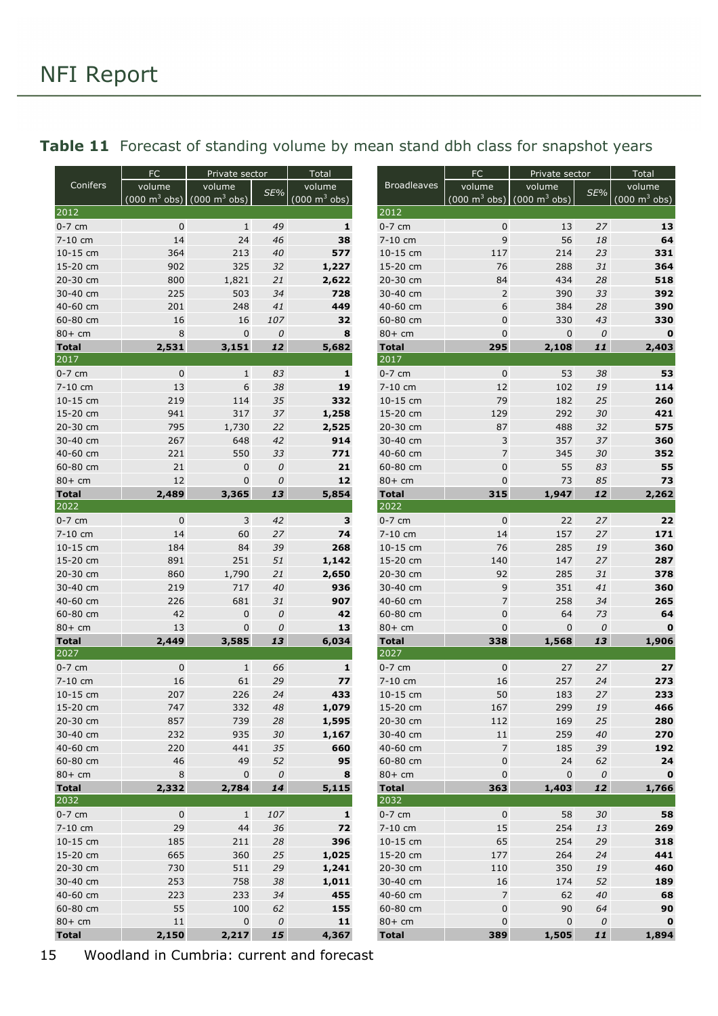|                      | FC          | Private sector                                           |                | Total            | FC                   | Private sector       |                                                          | Total      |                  |
|----------------------|-------------|----------------------------------------------------------|----------------|------------------|----------------------|----------------------|----------------------------------------------------------|------------|------------------|
| Conifers             | volume      | volume                                                   | SE%            | volume           | <b>Broadleaves</b>   | volume               | volume                                                   | $SE\%$     | volume           |
|                      |             | $(000 \text{ m}^3 \text{ obs})$ (000 m <sup>3</sup> obs) |                | (000 m $^3$ obs) |                      |                      | $(000 \text{ m}^3 \text{ obs})$ (000 m <sup>3</sup> obs) |            | (000 m $^3$ obs) |
| 2012                 |             |                                                          |                |                  | 2012                 |                      |                                                          |            |                  |
| $0-7$ cm             | $\pmb{0}$   | $\mathbf{1}$                                             | 49             | 1                | $0-7$ cm             | $\mathbf 0$<br>9     | 13<br>56                                                 | 27         | 13<br>64         |
| 7-10 cm<br>10-15 cm  | 14<br>364   | 24<br>213                                                | 46<br>40       | 38<br>577        | 7-10 cm<br>10-15 cm  |                      | 214                                                      | 18<br>23   | 331              |
|                      |             |                                                          |                |                  |                      | 117                  | 288                                                      |            | 364              |
| 15-20 cm             | 902         | 325                                                      | 32             | 1,227            | 15-20 cm             | 76                   |                                                          | 31         | 518              |
| 20-30 cm             | 800         | 1,821<br>503                                             | 21             | 2,622            | 20-30 cm<br>30-40 cm | 84<br>$\overline{2}$ | 434                                                      | 28         |                  |
| 30-40 cm             | 225         |                                                          | 34             | 728              |                      | 6                    | 390                                                      | 33         | 392              |
| 40-60 cm<br>60-80 cm | 201<br>16   | 248                                                      | 41<br>107      | 449<br>32        | 40-60 cm<br>60-80 cm | $\mathbf{0}$         | 384<br>330                                               | 28<br>43   | 390<br>330       |
| $80+$ cm             | 8           | 16<br>$\mathbf 0$                                        | ${\cal O}$     |                  | $80+$ cm             | $\mathbf 0$          | $\mathbf 0$                                              | $\cal O$   | $\bf{0}$         |
| <b>Total</b>         | 2,531       | 3,151                                                    | 12             | 8<br>5,682       | <b>Total</b>         | 295                  | 2,108                                                    | 11         | 2,403            |
| 2017                 |             |                                                          |                |                  | 2017                 |                      |                                                          |            |                  |
| $0-7$ cm             | $\pmb{0}$   | $\mathbf{1}$                                             | 83             | $\mathbf{1}$     | $0-7$ cm             | $\mathbf 0$          | 53                                                       | 38         | 53               |
| 7-10 cm              | 13          | 6                                                        | 38             | 19               | 7-10 cm              | 12                   | 102                                                      | 19         | 114              |
| 10-15 cm             | 219         | 114                                                      | 35             | 332              | 10-15 cm             | 79                   | 182                                                      | 25         | 260              |
| 15-20 cm             | 941         | 317                                                      | 37             | 1,258            | 15-20 cm             | 129                  | 292                                                      | 30         | 421              |
| 20-30 cm             | 795         | 1,730                                                    | 22             | 2,525            | 20-30 cm             | 87                   | 488                                                      | 32         | 575              |
| 30-40 cm             | 267         | 648                                                      | 42             | 914              | 30-40 cm             | 3                    | 357                                                      | 37         | 360              |
| 40-60 cm             | 221         | 550                                                      | 33             | 771              | 40-60 cm             | $\overline{7}$       | 345                                                      | 30         | 352              |
| 60-80 cm             | 21          | $\mathbf 0$                                              | 0              | 21               | 60-80 cm             | $\mathbf 0$          | 55                                                       | 83         | 55               |
| $80+$ cm             | 12          | $\mathbf{0}$                                             | 0              | 12               | $80+$ cm             | $\mathbf 0$          | 73                                                       | 85         | 73               |
| <b>Total</b>         | 2,489       | 3,365                                                    | 13             | 5,854            | <b>Total</b>         | 315                  | 1,947                                                    | 12         | 2,262            |
| 2022                 |             |                                                          |                |                  | 2022                 |                      |                                                          |            |                  |
| $0-7$ cm             | $\pmb{0}$   | 3                                                        | 42             | 3                | $0-7$ cm             | $\mathbf 0$          | 22                                                       | 27         | 22               |
| 7-10 cm              | 14          | 60                                                       | 27             | 74               | 7-10 cm              | 14                   | 157                                                      | 27         | 171              |
| 10-15 cm             | 184         | 84                                                       | 39             | 268              | 10-15 cm             | 76                   | 285                                                      | 19         | 360              |
| 15-20 cm             | 891         | 251                                                      | 51             | 1,142            | 15-20 cm             | 140                  | 147                                                      | 27         | 287              |
| 20-30 cm             | 860         | 1,790                                                    | 21             | 2,650            | 20-30 cm             | 92                   | 285                                                      | 31         | 378              |
| 30-40 cm             | 219         | 717                                                      | 40             | 936              | 30-40 cm             | 9                    | 351                                                      | 41         | 360              |
| 40-60 cm             | 226         | 681                                                      | 31             | 907              | 40-60 cm             | $\overline{7}$       | 258                                                      | 34         | 265              |
| 60-80 cm             | 42          | $\mathbf 0$                                              | ${\cal O}$     | 42               | 60-80 cm             | $\pmb{0}$            | 64                                                       | 73         | 64               |
| $80+$ cm             | 13          | $\mathbf 0$                                              | ${\cal O}$     | 13               | $80+$ cm             | $\mathbf 0$          | $\mathbf 0$                                              | ${\cal O}$ | $\bf{0}$         |
| <b>Total</b>         | 2,449       | 3,585                                                    | 13             | 6,034            | <b>Total</b>         | 338                  | 1,568                                                    | 13         | 1,906            |
| 2027                 |             |                                                          |                |                  | 2027                 |                      |                                                          |            |                  |
| $0-7$ cm             | $\pmb{0}$   | $\mathbf{1}$                                             | 66             | 1                | $0-7$ cm             | $\mathbf 0$          | 27                                                       | 27         | 27               |
| 7-10 cm              | 16          | 61                                                       | 29             | 77               | 7-10 cm              | 16                   | 257                                                      | 24         | 273              |
| 10-15 cm             | 207         | 226                                                      | 24             | 433              | 10-15 cm             | 50                   | 183                                                      | 27         | 233              |
| 15-20 cm             | 747         | 332                                                      | $\sqrt{48}$    | 1,079            | 15-20 cm             | 167                  | 299                                                      | 19         | 466              |
| 20-30 cm             | 857         | 739                                                      | 28             | 1,595            | 20-30 cm             | 112                  | 169                                                      | 25         | 280              |
| 30-40 cm             | 232         | 935                                                      | 30             | 1,167            | 30-40 cm             | $11\,$               | 259                                                      | 40         | 270              |
| 40-60 cm             | 220         | 441                                                      | 35             | 660              | 40-60 cm             | $\overline{7}$       | 185                                                      | 39         | 192              |
| 60-80 cm             | 46          | 49                                                       | 52             | 95               | 60-80 cm             | $\mathbf 0$          | 24                                                       | 62         | 24               |
| $80+cm$              | $\,8\,$     | $\pmb{0}$                                                | ${\cal O}$     | 8                | $80+cm$              | $\mathbf 0$          | $\mathbf 0$                                              | ${\cal O}$ | $\mathbf 0$      |
| <b>Total</b><br>2032 | 2,332       | 2,784                                                    | 14             | 5,115            | <b>Total</b><br>2032 | 363                  | 1,403                                                    | 12         | 1,766            |
|                      |             |                                                          |                |                  |                      | $\mathbf 0$          |                                                          |            |                  |
| $0-7$ cm             | $\mathbf 0$ | $\mathbf{1}$                                             | 107            | $\mathbf{1}$     | $0-7$ cm             |                      | 58                                                       | 30         | 58<br>269        |
| 7-10 cm              | 29          | 44                                                       | 36             | 72               | 7-10 cm              | 15                   | 254                                                      | 13         |                  |
| 10-15 cm<br>15-20 cm | 185<br>665  | 211                                                      | 28             | 396<br>1,025     | 10-15 cm<br>15-20 cm | 65<br>177            | 254<br>264                                               | 29<br>24   | 318<br>441       |
| 20-30 cm             | 730         | 360<br>511                                               | 25             | 1,241            | 20-30 cm             |                      | 350                                                      | 19         | 460              |
| 30-40 cm             | 253         |                                                          | 29<br>38       |                  |                      | 110                  | 174                                                      | 52         | 189              |
| 40-60 cm             | 223         | 758<br>233                                               | 34             | 1,011<br>455     | 30-40 cm<br>40-60 cm | 16<br>$\overline{7}$ | 62                                                       | 40         | 68               |
| 60-80 cm             | 55          | 100                                                      | 62             |                  |                      | $\pmb{0}$            | 90                                                       | 64         | 90               |
| $80+cm$              |             | 0                                                        |                | 155<br>11        | 60-80 cm<br>$80+cm$  |                      | $\pmb{0}$                                                | $\cal O$   | O                |
| <b>Total</b>         | 11<br>2,150 | 2,217                                                    | $\cal O$<br>15 | 4,367            | <b>Total</b>         | 0<br>389             | 1,505                                                    | 11         | 1,894            |
|                      |             |                                                          |                |                  |                      |                      |                                                          |            |                  |

#### <span id="page-14-0"></span>Table 11 Forecast of standing volume by mean stand dbh class for snapshot years

15 Woodland in Cumbria: current and forecast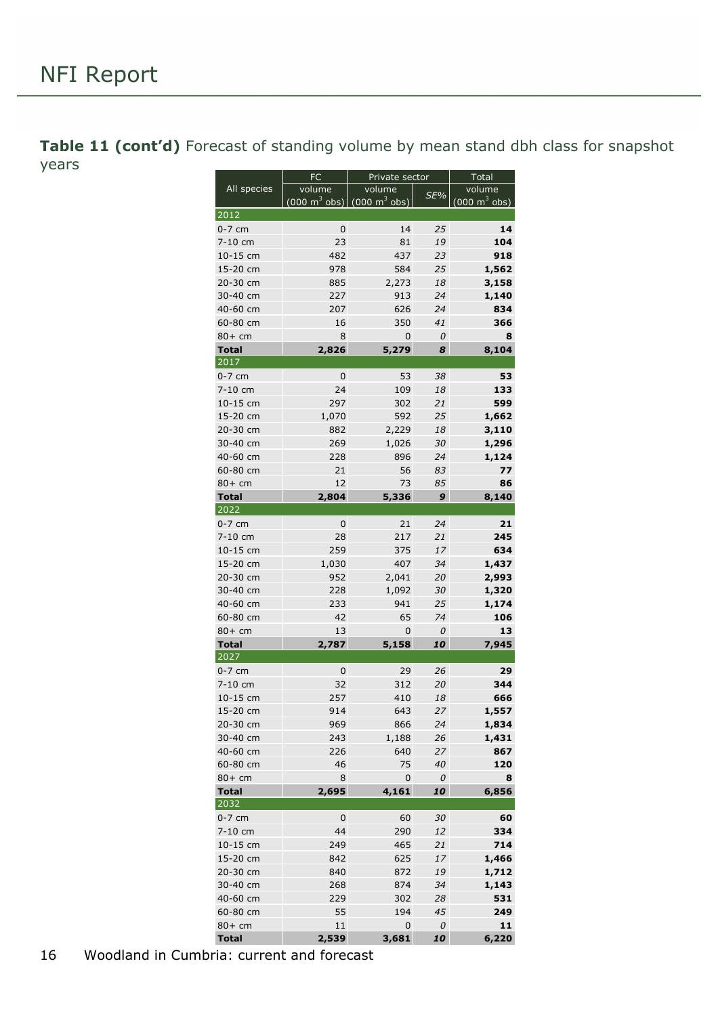<span id="page-15-0"></span>Table 11 (cont'd) Forecast of standing volume by mean stand dbh class for snapshot years

|                     | FC                                                       | Private sector | Total    |                                     |  |
|---------------------|----------------------------------------------------------|----------------|----------|-------------------------------------|--|
| All species         | volume                                                   | volume         | SE%      | volume                              |  |
|                     | $(000 \text{ m}^3 \text{ obs})$ (000 m <sup>3</sup> obs) |                |          | $(000 \; \text{m}^3 \; \text{obs})$ |  |
| 2012                |                                                          |                |          |                                     |  |
| $0-7$ cm            | 0                                                        | 14             | 25       | 14                                  |  |
| 7-10 cm             | 23                                                       | 81             | 19       | 104                                 |  |
| 10-15 cm            | 482                                                      | 437            | 23       | 918                                 |  |
| 15-20 cm            | 978                                                      | 584            | 25       | 1,562                               |  |
| 20-30 cm            | 885                                                      | 2,273          | 18       | 3,158                               |  |
| 30-40 cm            | 227                                                      | 913            | 24       | 1,140                               |  |
| 40-60 cm            | 207                                                      | 626            | 24       | 834                                 |  |
| 60-80 cm            | 16                                                       | 350            | 41       | 366                                 |  |
| $80+cm$             | 8                                                        | 0              | 0        | 8                                   |  |
| <b>Total</b>        | 2,826                                                    | 5,279          | 8        | 8,104                               |  |
| 2017                |                                                          |                |          |                                     |  |
| $0-7$ cm            | 0                                                        | 53             | 38       | 53                                  |  |
| 7-10 cm             | 24                                                       | 109            | 18       | 133                                 |  |
| 10-15 cm            | 297                                                      | 302            | 21       | 599                                 |  |
| 15-20 cm            | 1,070                                                    | 592            | 25       | 1,662                               |  |
| 20-30 cm            | 882                                                      | 2,229          | 18       | 3,110                               |  |
| 30-40 cm            | 269                                                      | 1,026          | 30       | 1,296                               |  |
| 40-60 cm            | 228                                                      | 896            | 24       | 1,124                               |  |
| 60-80 cm            | 21                                                       | 56             | 83       | 77                                  |  |
| $80+cm$             | 12                                                       | 73             | 85       | 86                                  |  |
| <b>Total</b>        | 2,804                                                    | 5,336          | 9        | 8,140                               |  |
| 2022                |                                                          |                |          |                                     |  |
| $0-7$ cm            | $\mathbf 0$                                              | 21             | 24       | 21                                  |  |
| 7-10 cm<br>10-15 cm | 28<br>259                                                | 217            | 21       | 245                                 |  |
| 15-20 cm            | 1,030                                                    | 375<br>407     | 17<br>34 | 634<br>1,437                        |  |
| 20-30 cm            | 952                                                      | 2,041          | 20       | 2,993                               |  |
| 30-40 cm            | 228                                                      | 1,092          | 30       | 1,320                               |  |
| 40-60 cm            | 233                                                      | 941            | 25       | 1,174                               |  |
| 60-80 cm            | 42                                                       | 65             | 74       | 106                                 |  |
| 80+ cm              | 13                                                       | 0              | 0        | 13                                  |  |
| <b>Total</b>        | 2,787                                                    | 5,158          | 10       | 7,945                               |  |
| 2027                |                                                          |                |          |                                     |  |
| $0-7$ cm            | $\pmb{0}$                                                | 29             | 26       | 29                                  |  |
| 7-10 cm             | 32                                                       | 312            | 20       | 344                                 |  |
| 10-15 cm            | 257                                                      | 410            | 18       | 666                                 |  |
| 15-20 cm            | 914                                                      | 643            | 27       | 1,557                               |  |
| 20-30 cm            | 969                                                      | 866            | 24       | 1,834                               |  |
| 30-40 cm            | 243                                                      | 1,188          | 26       | 1,431                               |  |
| 40-60 cm            | 226                                                      | 640            | 27       | 867                                 |  |
| 60-80 cm            | 46                                                       | 75             | 40       | 120                                 |  |
| $80+cm$             | 8                                                        | 0              | 0        | 8                                   |  |
| <b>Total</b>        | 2,695                                                    | 4,161          | 10       | 6,856                               |  |
| 2032                |                                                          |                |          |                                     |  |
| $0-7$ cm            | 0                                                        | 60             | 30       | 60                                  |  |
| 7-10 cm             | 44                                                       | 290            | 12       | 334                                 |  |
| 10-15 cm            | 249                                                      | 465            | 21       | 714                                 |  |
| 15-20 cm            | 842                                                      | 625            | 17       | 1,466                               |  |
| 20-30 cm            | 840                                                      | 872            | 19       | 1,712                               |  |
| 30-40 cm            | 268                                                      | 874            | 34       | 1,143                               |  |
| 40-60 cm            | 229                                                      | 302            | 28       | 531                                 |  |
| 60-80 cm            | 55                                                       | 194            | 45       | 249                                 |  |
| 80+ cm              | 11                                                       | 0              | 0        | 11                                  |  |
| <b>Total</b>        | 2,539                                                    | 3,681          | 10       | 6,220                               |  |